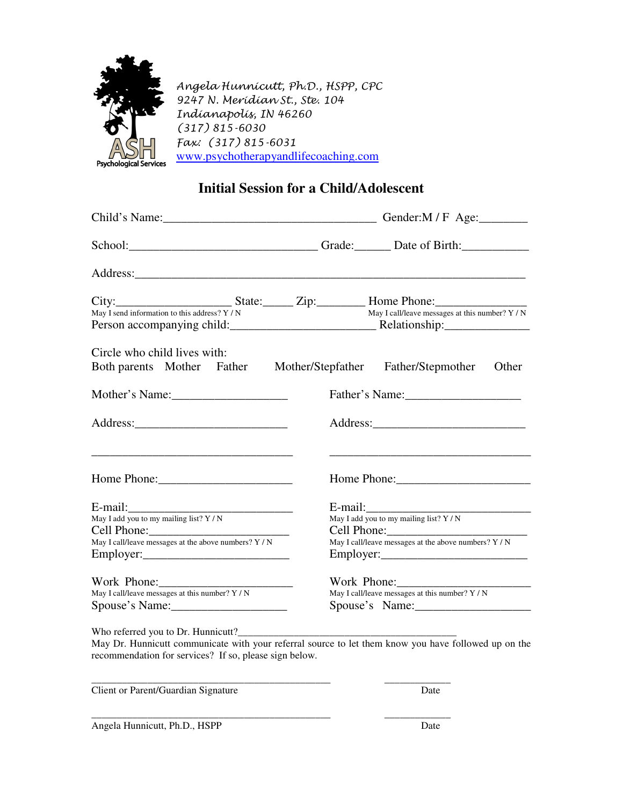

Angela Hunnicutt, Ph.D., HSPP, CPC 9247 N. Meridian St., Ste. 104 Indianapolis, IN 46260 (317) 815-6030 Fax: (317) 815-6031 www.psychotherapyandlifecoaching.com

## **Initial Session for a Child/Adolescent**

|                                                                                                                       | School: Change Contact Contact Contact Contact Contact Contact Contact Contact Contact Contact Contact Contact Contact Contact Contact Contact Contact Contact Contact Contact Contact Contact Contact Contact Contact Contact |  |  |
|-----------------------------------------------------------------------------------------------------------------------|--------------------------------------------------------------------------------------------------------------------------------------------------------------------------------------------------------------------------------|--|--|
|                                                                                                                       |                                                                                                                                                                                                                                |  |  |
|                                                                                                                       | City: <u>City:</u> State: <u>City:</u> City: Home Phone: May I call/leave messages at this number? Y/N<br>May I send information to this address? Y/N                                                                          |  |  |
| Circle who child lives with:<br>Both parents Mother Father Mother/Stepfather                                          | Father/Stepmother<br>Other                                                                                                                                                                                                     |  |  |
| Mother's Name:                                                                                                        |                                                                                                                                                                                                                                |  |  |
|                                                                                                                       |                                                                                                                                                                                                                                |  |  |
| <u> 1989 - Johann Harry Harry Harry Harry Harry Harry Harry Harry Harry Harry Harry Harry Harry Harry Harry Harry</u> |                                                                                                                                                                                                                                |  |  |
|                                                                                                                       |                                                                                                                                                                                                                                |  |  |
| May I add you to my mailing list? $Y/N$                                                                               | May I add you to my mailing list? $Y/N$                                                                                                                                                                                        |  |  |
| Cell Phone: May I call/leave messages at the above numbers? Y/N                                                       | Cell Phone: May I call/leave messages at the above numbers? Y/N                                                                                                                                                                |  |  |
|                                                                                                                       |                                                                                                                                                                                                                                |  |  |
|                                                                                                                       |                                                                                                                                                                                                                                |  |  |
| May I call/leave messages at this number? Y / N                                                                       | May I call/leave messages at this number? Y / N<br>Spouse's Name:                                                                                                                                                              |  |  |
| Who referred you to Dr. Hunnicutt?                                                                                    |                                                                                                                                                                                                                                |  |  |

May Dr. Hunnicutt communicate with your referral source to let them know you have followed up on the recommendation for services? If so, please sign below.

\_\_\_\_\_\_\_\_\_\_\_\_\_\_\_\_\_\_\_\_\_\_\_\_\_\_\_\_\_\_\_\_\_\_\_\_\_\_\_\_\_\_\_\_\_\_\_ \_\_\_\_\_\_\_\_\_\_\_\_\_

Client or Parent/Guardian Signature Date

\_\_\_\_\_\_\_\_\_\_\_\_\_\_\_\_\_\_\_\_\_\_\_\_\_\_\_\_\_\_\_\_\_\_\_\_\_\_\_\_\_\_\_\_\_\_\_ \_\_\_\_\_\_\_\_\_\_\_\_\_

Angela Hunnicutt, Ph.D., HSPP Date